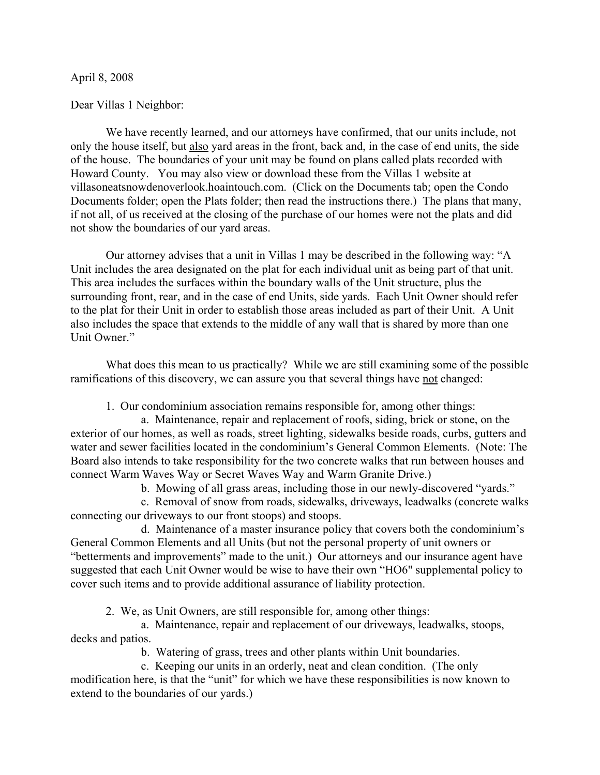## April 8, 2008

## Dear Villas 1 Neighbor:

We have recently learned, and our attorneys have confirmed, that our units include, not only the house itself, but also yard areas in the front, back and, in the case of end units, the side of the house. The boundaries of your unit may be found on plans called plats recorded with Howard County. You may also view or download these from the Villas 1 website at villasoneatsnowdenoverlook.hoaintouch.com. (Click on the Documents tab; open the Condo Documents folder; open the Plats folder; then read the instructions there.) The plans that many, if not all, of us received at the closing of the purchase of our homes were not the plats and did not show the boundaries of our yard areas.

Our attorney advises that a unit in Villas 1 may be described in the following way: "A Unit includes the area designated on the plat for each individual unit as being part of that unit. This area includes the surfaces within the boundary walls of the Unit structure, plus the surrounding front, rear, and in the case of end Units, side yards. Each Unit Owner should refer to the plat for their Unit in order to establish those areas included as part of their Unit. A Unit also includes the space that extends to the middle of any wall that is shared by more than one Unit Owner."

What does this mean to us practically? While we are still examining some of the possible ramifications of this discovery, we can assure you that several things have not changed:

1. Our condominium association remains responsible for, among other things:

a. Maintenance, repair and replacement of roofs, siding, brick or stone, on the exterior of our homes, as well as roads, street lighting, sidewalks beside roads, curbs, gutters and water and sewer facilities located in the condominium's General Common Elements. (Note: The Board also intends to take responsibility for the two concrete walks that run between houses and connect Warm Waves Way or Secret Waves Way and Warm Granite Drive.)

b. Mowing of all grass areas, including those in our newly-discovered "yards."

c. Removal of snow from roads, sidewalks, driveways, leadwalks (concrete walks connecting our driveways to our front stoops) and stoops.

d. Maintenance of a master insurance policy that covers both the condominium's General Common Elements and all Units (but not the personal property of unit owners or "betterments and improvements" made to the unit.) Our attorneys and our insurance agent have suggested that each Unit Owner would be wise to have their own "HO6" supplemental policy to cover such items and to provide additional assurance of liability protection.

2. We, as Unit Owners, are still responsible for, among other things:

a. Maintenance, repair and replacement of our driveways, leadwalks, stoops, decks and patios.

b. Watering of grass, trees and other plants within Unit boundaries.

c. Keeping our units in an orderly, neat and clean condition. (The only modification here, is that the "unit" for which we have these responsibilities is now known to extend to the boundaries of our yards.)